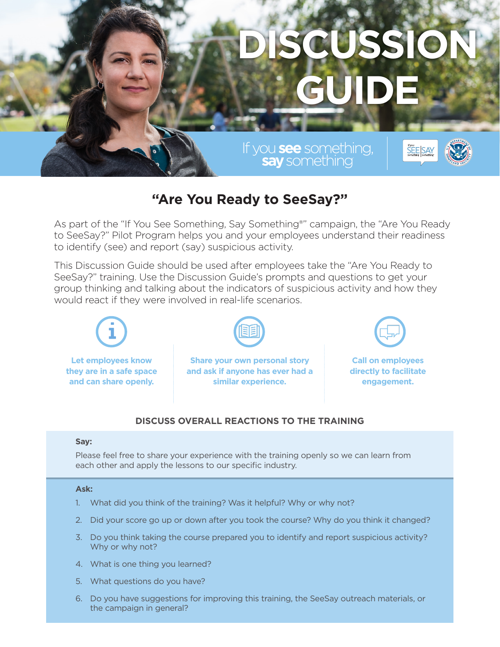# **DISCUSSION GUIDE**

If you**see**something, **say**something®

## **"Are You Ready to SeeSay?"**

As part of the "If You See Something, Say Something®" campaign, the "Are You Ready to SeeSay?" Pilot Program helps you and your employees understand their readiness to identify (see) and report (say) suspicious activity.

This Discussion Guide should be used after employees take the "Are You Ready to SeeSay?" training. Use the Discussion Guide's prompts and questions to get your group thinking and talking about the indicators of suspicious activity and how they would react if they were involved in real-life scenarios.



### **DISCUSS OVERALL REACTIONS TO THE TRAINING**

#### **Say:**

Please feel free to share your experience with the training openly so we can learn from each other and apply the lessons to our specific industry.

#### **Ask:**

- 1. What did you think of the training? Was it helpful? Why or why not?
- 2. Did your score go up or down after you took the course? Why do you think it changed?
- 3. Do you think taking the course prepared you to identify and report suspicious activity? Why or why not?
- 4. What is one thing you learned?
- 5. What questions do you have?
- 6. Do you have suggestions for improving this training, the SeeSay outreach materials, or the campaign in general?